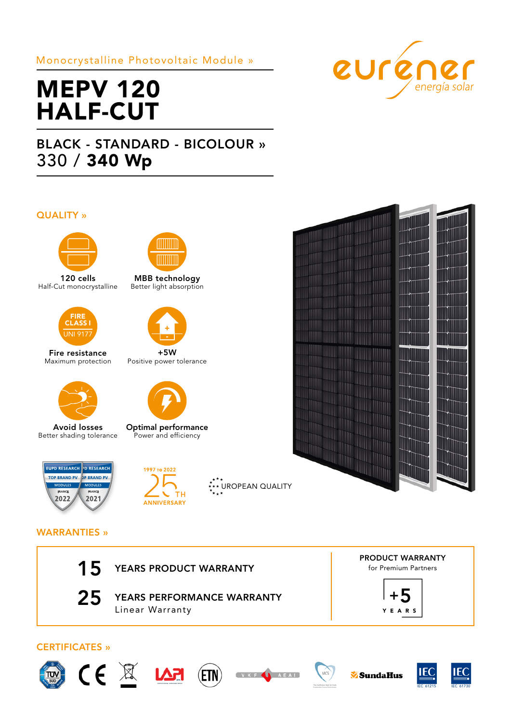### Monocrystalline Photovoltaic Module »



# MEPV 120 HALF-CUT

## BLACK - STANDARD - BICOLOUR » 330 / 340 Wp

#### QUALITY »



120 cells Half-Cut monocrystalline



Fire resistance Maximum protection



Avoid losses Better shading tolerance





MBB technology Better light absorption



+5W Positive power tolerance



Optimal performance Power and efficiency



\*.<br>\*\*\* UROPEAN QUALITY



#### WARRANTIES »

| $15$ YEARS PRODUCT WARRANTY |
|-----------------------------|
|                             |

25 YEARS PERFORMANCE WARRANTY Linear Warranty